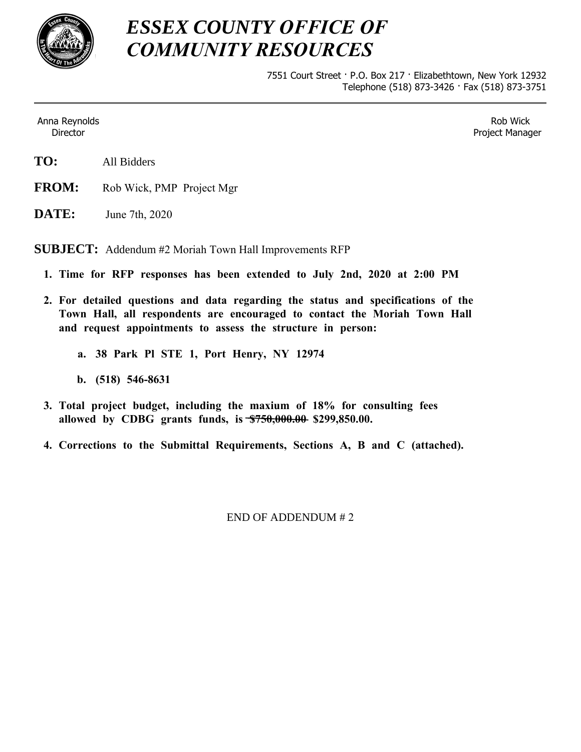

# *ESSEX COUNTY OFFICE OF COMMUNITY RESOURCES*

7551 Court Street · P.O. Box 217 · Elizabethtown, New York 12932 Telephone (518) 873-3426 · Fax (518) 873-3751

Anna Reynolds Director

Rob Wick Project Manager

- **TO:** All Bidders
- **FROM:** Rob Wick, PMP Project Mgr
- **DATE:** June 7th, 2020

**SUBJECT:** Addendum #2 Moriah Town Hall Improvements RFP

- **1. Time for RFP responses has been extended to July 2nd, 2020 at 2:00 PM**
- **2. For detailed questions and data regarding the status and specifications of the Town Hall, all respondents are encouraged to contact the Moriah Town Hall and request appointments to assess the structure in person:**
	- **a. 38 Park Pl STE 1, Port Henry, NY 12974**
	- **b. (518) 546-8631**
- **3. Total project budget, including the maxium of 18% for consulting fees allowed by CDBG grants funds, is \$750,000.00 \$299,850.00.**
- **4. Corrections to the Submittal Requirements, Sections A, B and C (attached).**

END OF ADDENDUM # 2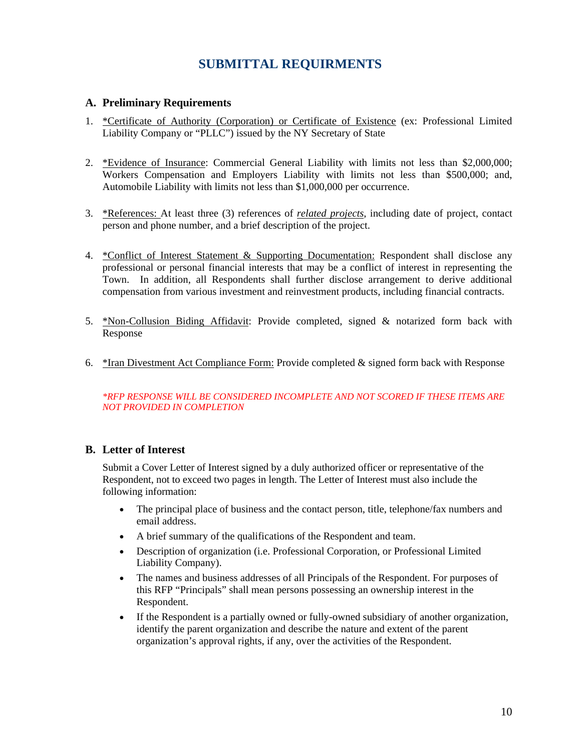# **SUBMITTAL REQUIRMENTS**

#### **A. Preliminary Requirements**

- 1. \*Certificate of Authority (Corporation) or Certificate of Existence (ex: Professional Limited Liability Company or "PLLC") issued by the NY Secretary of State
- 2. \*Evidence of Insurance: Commercial General Liability with limits not less than \$2,000,000; Workers Compensation and Employers Liability with limits not less than \$500,000; and, Automobile Liability with limits not less than \$1,000,000 per occurrence.
- 3. \*References: At least three (3) references of *related projects*, including date of project, contact person and phone number, and a brief description of the project.
- 4. \*Conflict of Interest Statement & Supporting Documentation: Respondent shall disclose any professional or personal financial interests that may be a conflict of interest in representing the Town. In addition, all Respondents shall further disclose arrangement to derive additional compensation from various investment and reinvestment products, including financial contracts.
- 5. \*Non-Collusion Biding Affidavit: Provide completed, signed & notarized form back with Response
- 6.  $*$ Iran Divestment Act Compliance Form: Provide completed  $&$  signed form back with Response

#### *\*RFP RESPONSE WILL BE CONSIDERED INCOMPLETE AND NOT SCORED IF THESE ITEMS ARE NOT PROVIDED IN COMPLETION*

### **B. Letter of Interest**

Submit a Cover Letter of Interest signed by a duly authorized officer or representative of the Respondent, not to exceed two pages in length. The Letter of Interest must also include the following information:

- The principal place of business and the contact person, title, telephone/fax numbers and email address.
- A brief summary of the qualifications of the Respondent and team.
- Description of organization (i.e. Professional Corporation, or Professional Limited Liability Company).
- The names and business addresses of all Principals of the Respondent. For purposes of this RFP "Principals" shall mean persons possessing an ownership interest in the Respondent.
- If the Respondent is a partially owned or fully-owned subsidiary of another organization, identify the parent organization and describe the nature and extent of the parent organization's approval rights, if any, over the activities of the Respondent.